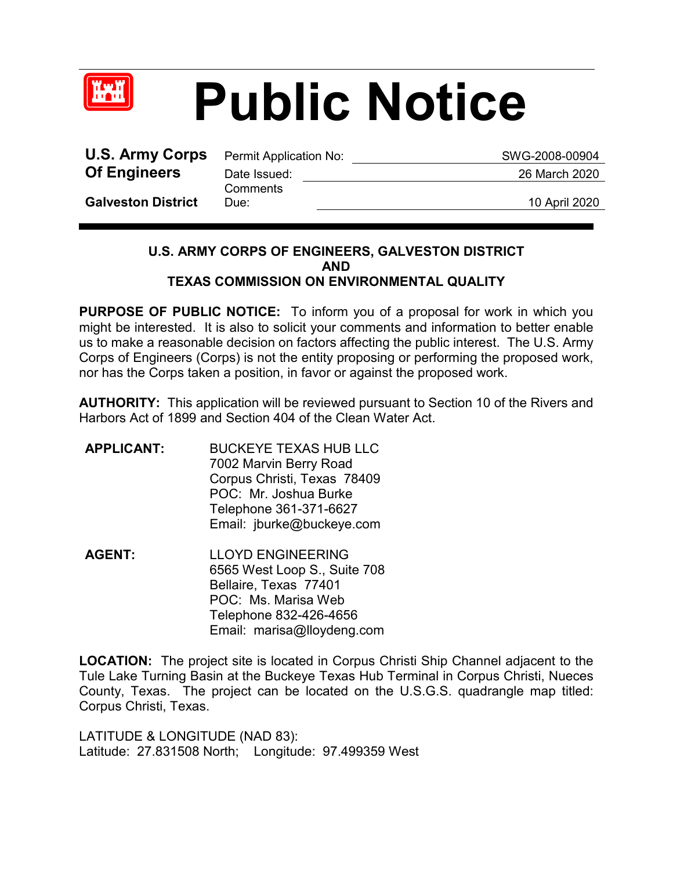

## **Public Notice**

**U.S. Army Corps** Permit Application No: SWG-2008-00904 **Of Engineers** Date Issued: 26 March 2020

**Comments** 

**Galveston District**

Due: 10 April 2020

## **U.S. ARMY CORPS OF ENGINEERS, GALVESTON DISTRICT AND TEXAS COMMISSION ON ENVIRONMENTAL QUALITY**

**PURPOSE OF PUBLIC NOTICE:** To inform you of a proposal for work in which you might be interested. It is also to solicit your comments and information to better enable us to make a reasonable decision on factors affecting the public interest. The U.S. Army Corps of Engineers (Corps) is not the entity proposing or performing the proposed work, nor has the Corps taken a position, in favor or against the proposed work.

**AUTHORITY:** This application will be reviewed pursuant to Section 10 of the Rivers and Harbors Act of 1899 and Section 404 of the Clean Water Act.

- **APPLICANT:** BUCKEYE TEXAS HUB LLC 7002 Marvin Berry Road Corpus Christi, Texas 78409 POC: Mr. Joshua Burke Telephone 361-371-6627 Email: jburke@buckeye.com
- **AGENT:** LLOYD ENGINEERING 6565 West Loop S., Suite 708 Bellaire, Texas 77401 POC: Ms. Marisa Web Telephone 832-426-4656 Email: marisa@lloydeng.com

**LOCATION:** The project site is located in Corpus Christi Ship Channel adjacent to the Tule Lake Turning Basin at the Buckeye Texas Hub Terminal in Corpus Christi, Nueces County, Texas. The project can be located on the U.S.G.S. quadrangle map titled: Corpus Christi, Texas.

LATITUDE & LONGITUDE (NAD 83): Latitude: 27.831508 North; Longitude: 97.499359 West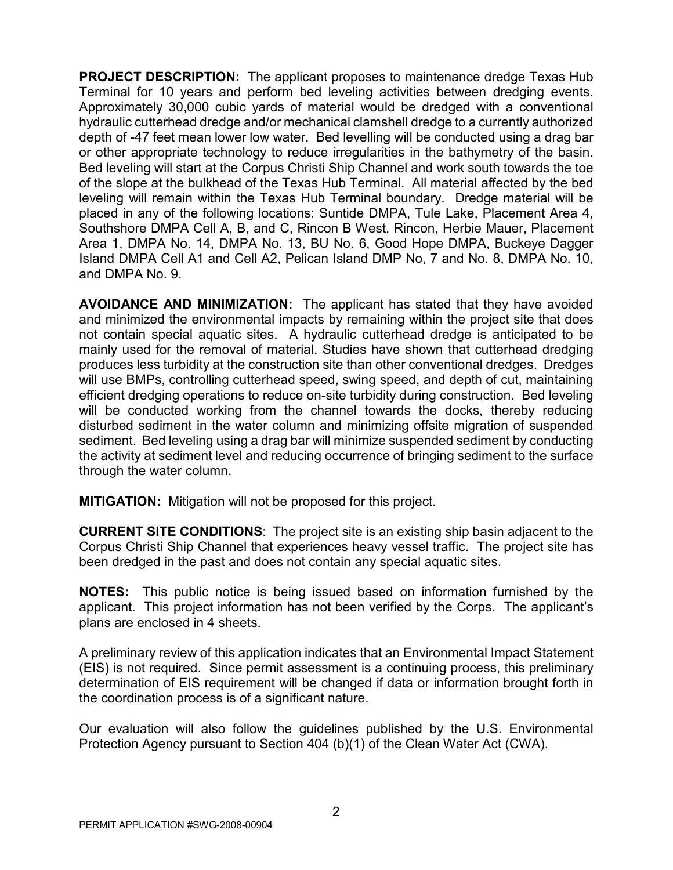**PROJECT DESCRIPTION:** The applicant proposes to maintenance dredge Texas Hub Terminal for 10 years and perform bed leveling activities between dredging events. Approximately 30,000 cubic yards of material would be dredged with a conventional hydraulic cutterhead dredge and/or mechanical clamshell dredge to a currently authorized depth of -47 feet mean lower low water. Bed levelling will be conducted using a drag bar or other appropriate technology to reduce irregularities in the bathymetry of the basin. Bed leveling will start at the Corpus Christi Ship Channel and work south towards the toe of the slope at the bulkhead of the Texas Hub Terminal. All material affected by the bed leveling will remain within the Texas Hub Terminal boundary. Dredge material will be placed in any of the following locations: Suntide DMPA, Tule Lake, Placement Area 4, Southshore DMPA Cell A, B, and C, Rincon B West, Rincon, Herbie Mauer, Placement Area 1, DMPA No. 14, DMPA No. 13, BU No. 6, Good Hope DMPA, Buckeye Dagger Island DMPA Cell A1 and Cell A2, Pelican Island DMP No, 7 and No. 8, DMPA No. 10, and DMPA No. 9.

**AVOIDANCE AND MINIMIZATION:** The applicant has stated that they have avoided and minimized the environmental impacts by remaining within the project site that does not contain special aquatic sites. A hydraulic cutterhead dredge is anticipated to be mainly used for the removal of material. Studies have shown that cutterhead dredging produces less turbidity at the construction site than other conventional dredges. Dredges will use BMPs, controlling cutterhead speed, swing speed, and depth of cut, maintaining efficient dredging operations to reduce on-site turbidity during construction. Bed leveling will be conducted working from the channel towards the docks, thereby reducing disturbed sediment in the water column and minimizing offsite migration of suspended sediment. Bed leveling using a drag bar will minimize suspended sediment by conducting the activity at sediment level and reducing occurrence of bringing sediment to the surface through the water column.

**MITIGATION:** Mitigation will not be proposed for this project.

**CURRENT SITE CONDITIONS**: The project site is an existing ship basin adjacent to the Corpus Christi Ship Channel that experiences heavy vessel traffic. The project site has been dredged in the past and does not contain any special aquatic sites.

**NOTES:** This public notice is being issued based on information furnished by the applicant. This project information has not been verified by the Corps. The applicant's plans are enclosed in 4 sheets.

A preliminary review of this application indicates that an Environmental Impact Statement (EIS) is not required. Since permit assessment is a continuing process, this preliminary determination of EIS requirement will be changed if data or information brought forth in the coordination process is of a significant nature.

Our evaluation will also follow the guidelines published by the U.S. Environmental Protection Agency pursuant to Section 404 (b)(1) of the Clean Water Act (CWA).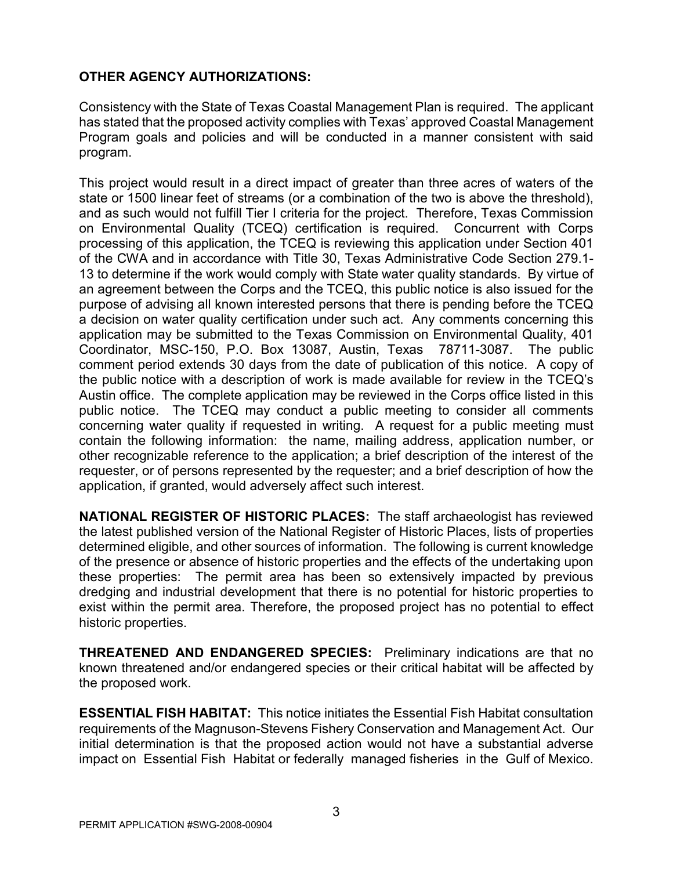## **OTHER AGENCY AUTHORIZATIONS:**

Consistency with the State of Texas Coastal Management Plan is required. The applicant has stated that the proposed activity complies with Texas' approved Coastal Management Program goals and policies and will be conducted in a manner consistent with said program.

This project would result in a direct impact of greater than three acres of waters of the state or 1500 linear feet of streams (or a combination of the two is above the threshold), and as such would not fulfill Tier I criteria for the project. Therefore, Texas Commission on Environmental Quality (TCEQ) certification is required. Concurrent with Corps processing of this application, the TCEQ is reviewing this application under Section 401 of the CWA and in accordance with Title 30, Texas Administrative Code Section 279.1- 13 to determine if the work would comply with State water quality standards. By virtue of an agreement between the Corps and the TCEQ, this public notice is also issued for the purpose of advising all known interested persons that there is pending before the TCEQ a decision on water quality certification under such act. Any comments concerning this application may be submitted to the Texas Commission on Environmental Quality, 401 Coordinator, MSC-150, P.O. Box 13087, Austin, Texas 78711-3087. The public comment period extends 30 days from the date of publication of this notice. A copy of the public notice with a description of work is made available for review in the TCEQ's Austin office. The complete application may be reviewed in the Corps office listed in this public notice. The TCEQ may conduct a public meeting to consider all comments concerning water quality if requested in writing. A request for a public meeting must contain the following information: the name, mailing address, application number, or other recognizable reference to the application; a brief description of the interest of the requester, or of persons represented by the requester; and a brief description of how the application, if granted, would adversely affect such interest.

**NATIONAL REGISTER OF HISTORIC PLACES:** The staff archaeologist has reviewed the latest published version of the National Register of Historic Places, lists of properties determined eligible, and other sources of information. The following is current knowledge of the presence or absence of historic properties and the effects of the undertaking upon these properties: The permit area has been so extensively impacted by previous dredging and industrial development that there is no potential for historic properties to exist within the permit area. Therefore, the proposed project has no potential to effect historic properties.

**THREATENED AND ENDANGERED SPECIES:** Preliminary indications are that no known threatened and/or endangered species or their critical habitat will be affected by the proposed work.

**ESSENTIAL FISH HABITAT:** This notice initiates the Essential Fish Habitat consultation requirements of the Magnuson-Stevens Fishery Conservation and Management Act. Our initial determination is that the proposed action would not have a substantial adverse impact on Essential Fish Habitat or federally managed fisheries in the Gulf of Mexico.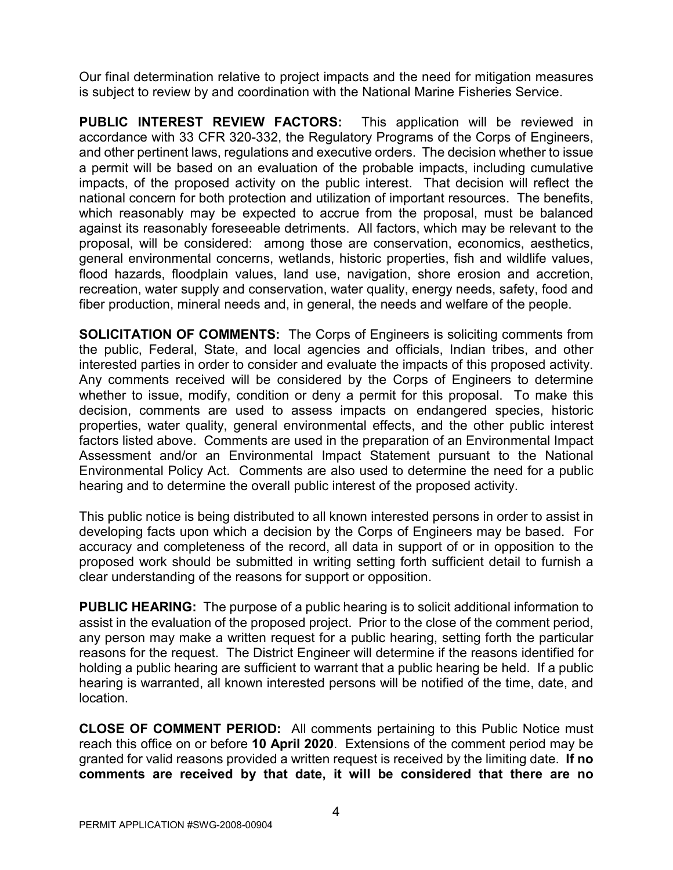Our final determination relative to project impacts and the need for mitigation measures is subject to review by and coordination with the National Marine Fisheries Service.

**PUBLIC INTEREST REVIEW FACTORS:** This application will be reviewed in accordance with 33 CFR 320-332, the Regulatory Programs of the Corps of Engineers, and other pertinent laws, regulations and executive orders. The decision whether to issue a permit will be based on an evaluation of the probable impacts, including cumulative impacts, of the proposed activity on the public interest. That decision will reflect the national concern for both protection and utilization of important resources. The benefits, which reasonably may be expected to accrue from the proposal, must be balanced against its reasonably foreseeable detriments. All factors, which may be relevant to the proposal, will be considered: among those are conservation, economics, aesthetics, general environmental concerns, wetlands, historic properties, fish and wildlife values, flood hazards, floodplain values, land use, navigation, shore erosion and accretion, recreation, water supply and conservation, water quality, energy needs, safety, food and fiber production, mineral needs and, in general, the needs and welfare of the people.

**SOLICITATION OF COMMENTS:** The Corps of Engineers is soliciting comments from the public, Federal, State, and local agencies and officials, Indian tribes, and other interested parties in order to consider and evaluate the impacts of this proposed activity. Any comments received will be considered by the Corps of Engineers to determine whether to issue, modify, condition or deny a permit for this proposal. To make this decision, comments are used to assess impacts on endangered species, historic properties, water quality, general environmental effects, and the other public interest factors listed above. Comments are used in the preparation of an Environmental Impact Assessment and/or an Environmental Impact Statement pursuant to the National Environmental Policy Act. Comments are also used to determine the need for a public hearing and to determine the overall public interest of the proposed activity.

This public notice is being distributed to all known interested persons in order to assist in developing facts upon which a decision by the Corps of Engineers may be based. For accuracy and completeness of the record, all data in support of or in opposition to the proposed work should be submitted in writing setting forth sufficient detail to furnish a clear understanding of the reasons for support or opposition.

**PUBLIC HEARING:** The purpose of a public hearing is to solicit additional information to assist in the evaluation of the proposed project. Prior to the close of the comment period, any person may make a written request for a public hearing, setting forth the particular reasons for the request. The District Engineer will determine if the reasons identified for holding a public hearing are sufficient to warrant that a public hearing be held. If a public hearing is warranted, all known interested persons will be notified of the time, date, and location.

**CLOSE OF COMMENT PERIOD:** All comments pertaining to this Public Notice must reach this office on or before **10 April 2020**. Extensions of the comment period may be granted for valid reasons provided a written request is received by the limiting date. **If no comments are received by that date, it will be considered that there are no**